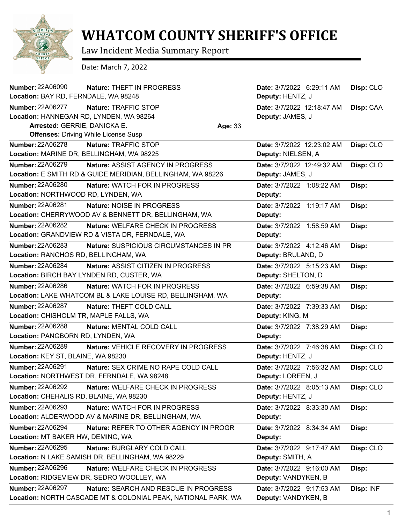

## **WHATCOM COUNTY SHERIFF'S OFFICE**

Law Incident Media Summary Report

Date: March 7, 2022

| <b>Number: 22A06090</b>                   | Nature: THEFT IN PROGRESS                                     |         | Date: 3/7/2022 6:29:11 AM  | Disp: CLO |
|-------------------------------------------|---------------------------------------------------------------|---------|----------------------------|-----------|
| Location: BAY RD, FERNDALE, WA 98248      |                                                               |         | Deputy: HENTZ, J           |           |
| <b>Number: 22A06277</b>                   | Nature: TRAFFIC STOP                                          |         | Date: 3/7/2022 12:18:47 AM | Disp: CAA |
| Location: HANNEGAN RD, LYNDEN, WA 98264   |                                                               |         | Deputy: JAMES, J           |           |
| Arrested: GERRIE, DANICKA E.              |                                                               | Age: 33 |                            |           |
|                                           | <b>Offenses: Driving While License Susp</b>                   |         |                            |           |
| <b>Number: 22A06278</b>                   | Nature: TRAFFIC STOP                                          |         | Date: 3/7/2022 12:23:02 AM | Disp: CLO |
| Location: MARINE DR, BELLINGHAM, WA 98225 |                                                               |         | Deputy: NIELSEN, A         |           |
| <b>Number: 22A06279</b>                   | Nature: ASSIST AGENCY IN PROGRESS                             |         | Date: 3/7/2022 12:49:32 AM | Disp: CLO |
|                                           | Location: E SMITH RD & GUIDE MERIDIAN, BELLINGHAM, WA 98226   |         | Deputy: JAMES, J           |           |
| Number: 22A06280                          | Nature: WATCH FOR IN PROGRESS                                 |         | Date: 3/7/2022 1:08:22 AM  | Disp:     |
| Location: NORTHWOOD RD, LYNDEN, WA        |                                                               |         | Deputy:                    |           |
| Number: 22A06281                          | Nature: NOISE IN PROGRESS                                     |         | Date: 3/7/2022 1:19:17 AM  | Disp:     |
|                                           | Location: CHERRYWOOD AV & BENNETT DR, BELLINGHAM, WA          |         | Deputy:                    |           |
| <b>Number: 22A06282</b>                   | Nature: WELFARE CHECK IN PROGRESS                             |         | Date: 3/7/2022 1:58:59 AM  | Disp:     |
|                                           | Location: GRANDVIEW RD & VISTA DR, FERNDALE, WA               |         | Deputy:                    |           |
| <b>Number: 22A06283</b>                   | Nature: SUSPICIOUS CIRCUMSTANCES IN PR                        |         | Date: 3/7/2022 4:12:46 AM  | Disp:     |
| Location: RANCHOS RD, BELLINGHAM, WA      |                                                               |         | Deputy: BRULAND, D         |           |
| <b>Number: 22A06284</b>                   | Nature: ASSIST CITIZEN IN PROGRESS                            |         | Date: 3/7/2022 5:15:23 AM  | Disp:     |
|                                           | Location: BIRCH BAY LYNDEN RD, CUSTER, WA                     |         | Deputy: SHELTON, D         |           |
| Number: 22A06286                          | <b>Nature: WATCH FOR IN PROGRESS</b>                          |         | Date: 3/7/2022 6:59:38 AM  | Disp:     |
|                                           | Location: LAKE WHATCOM BL & LAKE LOUISE RD, BELLINGHAM, WA    |         | Deputy:                    |           |
| <b>Number: 22A06287</b>                   | Nature: THEFT COLD CALL                                       |         | Date: 3/7/2022 7:39:33 AM  | Disp:     |
| Location: CHISHOLM TR, MAPLE FALLS, WA    |                                                               |         | Deputy: KING, M            |           |
| Number: 22A06288                          | Nature: MENTAL COLD CALL                                      |         | Date: 3/7/2022 7:38:29 AM  | Disp:     |
| Location: PANGBORN RD, LYNDEN, WA         |                                                               |         | Deputy:                    |           |
| Number: 22A06289                          | Nature: VEHICLE RECOVERY IN PROGRESS                          |         | Date: 3/7/2022 7:46:38 AM  | Disp: CLO |
| Location: KEY ST, BLAINE, WA 98230        |                                                               |         | Deputy: HENTZ, J           |           |
| <b>Number: 22A06291</b>                   | Nature: SEX CRIME NO RAPE COLD CALL                           |         | Date: 3/7/2022 7:56:32 AM  | Disp: CLO |
|                                           | Location: NORTHWEST DR, FERNDALE, WA 98248                    |         | Deputy: LOREEN, J          |           |
| <b>Number: 22A06292</b>                   | Nature: WELFARE CHECK IN PROGRESS                             |         | Date: 3/7/2022 8:05:13 AM  | Disp: CLO |
| Location: CHEHALIS RD, BLAINE, WA 98230   |                                                               |         | Deputy: HENTZ, J           |           |
| <b>Number: 22A06293</b>                   | Nature: WATCH FOR IN PROGRESS                                 |         | Date: 3/7/2022 8:33:30 AM  | Disp:     |
|                                           | Location: ALDERWOOD AV & MARINE DR, BELLINGHAM, WA            |         | Deputy:                    |           |
| <b>Number: 22A06294</b>                   | Nature: REFER TO OTHER AGENCY IN PROGR                        |         | Date: 3/7/2022 8:34:34 AM  | Disp:     |
| Location: MT BAKER HW, DEMING, WA         |                                                               |         | Deputy:                    |           |
| Number: 22A06295                          | Nature: BURGLARY COLD CALL                                    |         | Date: 3/7/2022 9:17:47 AM  | Disp: CLO |
|                                           | Location: N LAKE SAMISH DR, BELLINGHAM, WA 98229              |         | Deputy: SMITH, A           |           |
| Number: 22A06296                          | Nature: WELFARE CHECK IN PROGRESS                             |         | Date: 3/7/2022 9:16:00 AM  | Disp:     |
|                                           | Location: RIDGEVIEW DR, SEDRO WOOLLEY, WA                     |         | Deputy: VANDYKEN, B        |           |
| Number: 22A06297                          | <b>Nature: SEARCH AND RESCUE IN PROGRESS</b>                  |         | Date: 3/7/2022 9:17:53 AM  | Disp: INF |
|                                           | Location: NORTH CASCADE MT & COLONIAL PEAK, NATIONAL PARK, WA |         | Deputy: VANDYKEN, B        |           |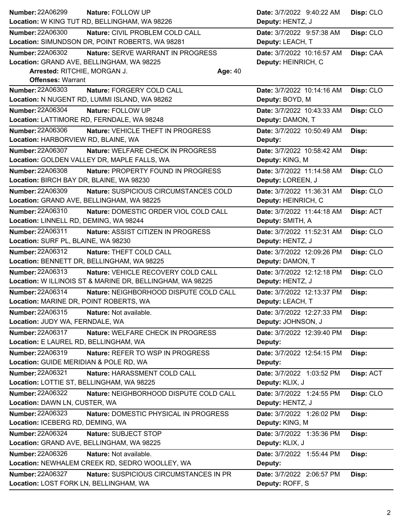| <b>Number: 22A06299</b><br>Nature: FOLLOW UP                      | Date: 3/7/2022 9:40:22 AM  | Disp: CLO |
|-------------------------------------------------------------------|----------------------------|-----------|
| Location: W KING TUT RD, BELLINGHAM, WA 98226                     | Deputy: HENTZ, J           |           |
| <b>Number: 22A06300</b><br>Nature: CIVIL PROBLEM COLD CALL        | Date: 3/7/2022 9:57:38 AM  | Disp: CLO |
| Location: SIMUNDSON DR, POINT ROBERTS, WA 98281                   | Deputy: LEACH, T           |           |
| <b>Number: 22A06302</b><br>Nature: SERVE WARRANT IN PROGRESS      | Date: 3/7/2022 10:16:57 AM | Disp: CAA |
| Location: GRAND AVE, BELLINGHAM, WA 98225                         | Deputy: HEINRICH, C        |           |
| Arrested: RITCHIE, MORGAN J.<br>Age: 40                           |                            |           |
| <b>Offenses: Warrant</b>                                          |                            |           |
| Number: 22A06303<br>Nature: FORGERY COLD CALL                     | Date: 3/7/2022 10:14:16 AM | Disp: CLO |
| Location: N NUGENT RD, LUMMI ISLAND, WA 98262                     | Deputy: BOYD, M            |           |
| Number: 22A06304<br>Nature: FOLLOW UP                             | Date: 3/7/2022 10:43:33 AM | Disp: CLO |
| Location: LATTIMORE RD, FERNDALE, WA 98248                        | Deputy: DAMON, T           |           |
| Number: 22A06306<br>Nature: VEHICLE THEFT IN PROGRESS             | Date: 3/7/2022 10:50:49 AM | Disp:     |
| Location: HARBORVIEW RD, BLAINE, WA                               | Deputy:                    |           |
| <b>Number: 22A06307</b><br>Nature: WELFARE CHECK IN PROGRESS      | Date: 3/7/2022 10:58:42 AM | Disp:     |
| Location: GOLDEN VALLEY DR, MAPLE FALLS, WA                       | Deputy: KING, M            |           |
| <b>Number: 22A06308</b><br>Nature: PROPERTY FOUND IN PROGRESS     | Date: 3/7/2022 11:14:58 AM | Disp: CLO |
| Location: BIRCH BAY DR, BLAINE, WA 98230                          | Deputy: LOREEN, J          |           |
| <b>Number: 22A06309</b><br>Nature: SUSPICIOUS CIRCUMSTANCES COLD  | Date: 3/7/2022 11:36:31 AM | Disp: CLO |
| Location: GRAND AVE, BELLINGHAM, WA 98225                         | Deputy: HEINRICH, C        |           |
| <b>Number: 22A06310</b><br>Nature: DOMESTIC ORDER VIOL COLD CALL  | Date: 3/7/2022 11:44:18 AM | Disp: ACT |
| Location: LINNELL RD, DEMING, WA 98244                            | Deputy: SMITH, A           |           |
| Number: 22A06311<br>Nature: ASSIST CITIZEN IN PROGRESS            | Date: 3/7/2022 11:52:31 AM | Disp: CLO |
| Location: SURF PL, BLAINE, WA 98230                               | Deputy: HENTZ, J           |           |
| <b>Number: 22A06312</b><br>Nature: THEFT COLD CALL                | Date: 3/7/2022 12:09:26 PM | Disp: CLO |
| Location: BENNETT DR, BELLINGHAM, WA 98225                        | Deputy: DAMON, T           |           |
| Number: 22A06313<br>Nature: VEHICLE RECOVERY COLD CALL            | Date: 3/7/2022 12:12:18 PM | Disp: CLO |
| Location: W ILLINOIS ST & MARINE DR, BELLINGHAM, WA 98225         | Deputy: HENTZ, J           |           |
| <b>Number: 22A06314</b><br>Nature: NEIGHBORHOOD DISPUTE COLD CALL | Date: 3/7/2022 12:13:37 PM | Disp:     |
| Location: MARINE DR, POINT ROBERTS, WA                            | Deputy: LEACH, T           |           |
| Number: 22A06315<br>Nature: Not available.                        | Date: 3/7/2022 12:27:33 PM | Disp:     |
| Location: JUDY WA, FERNDALE, WA                                   | Deputy: JOHNSON, J         |           |
| <b>Number: 22A06317</b><br>Nature: WELFARE CHECK IN PROGRESS      | Date: 3/7/2022 12:39:40 PM | Disp:     |
| Location: E LAUREL RD, BELLINGHAM, WA                             | Deputy:                    |           |
| Number: 22A06319<br>Nature: REFER TO WSP IN PROGRESS              | Date: 3/7/2022 12:54:15 PM | Disp:     |
| Location: GUIDE MERIDIAN & POLE RD, WA                            | Deputy:                    |           |
| <b>Number: 22A06321</b><br>Nature: HARASSMENT COLD CALL           | Date: 3/7/2022 1:03:52 PM  | Disp: ACT |
| Location: LOTTIE ST, BELLINGHAM, WA 98225                         | Deputy: KLIX, J            |           |
| Number: 22A06322<br>Nature: NEIGHBORHOOD DISPUTE COLD CALL        | Date: 3/7/2022 1:24:55 PM  | Disp: CLO |
| Location: DAWN LN, CUSTER, WA                                     | Deputy: HENTZ, J           |           |
| Number: 22A06323<br>Nature: DOMESTIC PHYSICAL IN PROGRESS         | Date: 3/7/2022 1:26:02 PM  | Disp:     |
| Location: ICEBERG RD, DEMING, WA                                  | Deputy: KING, M            |           |
|                                                                   | Date: 3/7/2022 1:35:36 PM  | Disp:     |
| <b>Number: 22A06324</b><br>Nature: SUBJECT STOP                   |                            |           |
| Location: GRAND AVE, BELLINGHAM, WA 98225                         | Deputy: KLIX, J            |           |
| Number: 22A06326<br>Nature: Not available.                        | Date: 3/7/2022 1:55:44 PM  | Disp:     |
| Location: NEWHALEM CREEK RD, SEDRO WOOLLEY, WA                    | Deputy:                    |           |
| <b>Number: 22A06327</b><br>Nature: SUSPICIOUS CIRCUMSTANCES IN PR | Date: 3/7/2022 2:06:57 PM  | Disp:     |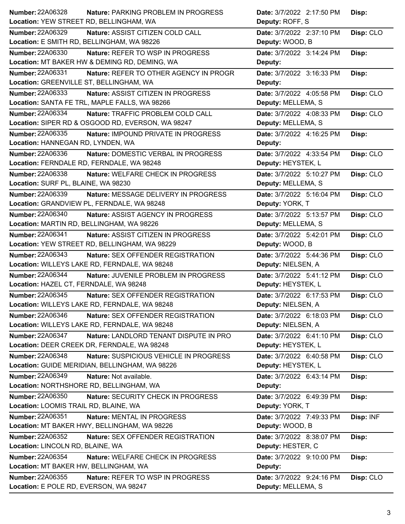| <b>Number: 22A06328</b><br><b>Nature: PARKING PROBLEM IN PROGRESS</b> | Date: 3/7/2022 2:17:50 PM<br>Disp:     |  |
|-----------------------------------------------------------------------|----------------------------------------|--|
| Location: YEW STREET RD, BELLINGHAM, WA                               | Deputy: ROFF, S                        |  |
| <b>Number: 22A06329</b><br>Nature: ASSIST CITIZEN COLD CALL           | Disp: CLO<br>Date: 3/7/2022 2:37:10 PM |  |
| Location: E SMITH RD, BELLINGHAM, WA 98226                            | Deputy: WOOD, B                        |  |
| <b>Number: 22A06330</b><br>Nature: REFER TO WSP IN PROGRESS           | Date: 3/7/2022 3:14:24 PM<br>Disp:     |  |
| Location: MT BAKER HW & DEMING RD, DEMING, WA                         | Deputy:                                |  |
| <b>Number: 22A06331</b><br>Nature: REFER TO OTHER AGENCY IN PROGR     | Date: 3/7/2022 3:16:33 PM<br>Disp:     |  |
| Location: GREENVILLE ST, BELLINGHAM, WA                               | Deputy:                                |  |
| Number: 22A06333<br>Nature: ASSIST CITIZEN IN PROGRESS                | Date: 3/7/2022 4:05:58 PM<br>Disp: CLO |  |
| Location: SANTA FE TRL, MAPLE FALLS, WA 98266                         | Deputy: MELLEMA, S                     |  |
| Number: 22A06334<br>Nature: TRAFFIC PROBLEM COLD CALL                 | Date: 3/7/2022 4:08:33 PM<br>Disp: CLO |  |
| Location: SIPER RD & OSGOOD RD, EVERSON, WA 98247                     | Deputy: MELLEMA, S                     |  |
| <b>Number: 22A06335</b><br>Nature: IMPOUND PRIVATE IN PROGRESS        | Date: 3/7/2022 4:16:25 PM<br>Disp:     |  |
| Location: HANNEGAN RD, LYNDEN, WA                                     | Deputy:                                |  |
| <b>Number: 22A06336</b><br>Nature: DOMESTIC VERBAL IN PROGRESS        | Date: 3/7/2022 4:33:54 PM<br>Disp: CLO |  |
| Location: FERNDALE RD, FERNDALE, WA 98248                             | Deputy: HEYSTEK, L                     |  |
| <b>Number: 22A06338</b><br>Nature: WELFARE CHECK IN PROGRESS          | Date: 3/7/2022 5:10:27 PM<br>Disp: CLO |  |
| Location: SURF PL, BLAINE, WA 98230                                   | Deputy: MELLEMA, S                     |  |
| Number: 22A06339<br>Nature: MESSAGE DELIVERY IN PROGRESS              | Disp: CLO<br>Date: 3/7/2022 5:16:04 PM |  |
| Location: GRANDVIEW PL, FERNDALE, WA 98248                            | Deputy: YORK, T                        |  |
| <b>Number: 22A06340</b><br><b>Nature: ASSIST AGENCY IN PROGRESS</b>   | Disp: CLO<br>Date: 3/7/2022 5:13:57 PM |  |
| Location: MARTIN RD, BELLINGHAM, WA 98226                             | Deputy: MELLEMA, S                     |  |
| Number: 22A06341<br>Nature: ASSIST CITIZEN IN PROGRESS                | Disp: CLO<br>Date: 3/7/2022 5:42:01 PM |  |
| Location: YEW STREET RD, BELLINGHAM, WA 98229                         | Deputy: WOOD, B                        |  |
| <b>Number: 22A06343</b><br>Nature: SEX OFFENDER REGISTRATION          | Date: 3/7/2022 5:44:36 PM<br>Disp: CLO |  |
| Location: WILLEYS LAKE RD, FERNDALE, WA 98248                         | Deputy: NIELSEN, A                     |  |
| Number: 22A06344<br>Nature: JUVENILE PROBLEM IN PROGRESS              | Disp: CLO<br>Date: 3/7/2022 5:41:12 PM |  |
| Location: HAZEL CT, FERNDALE, WA 98248                                | Deputy: HEYSTEK, L                     |  |
|                                                                       |                                        |  |
| <b>Number: 22A06345</b><br>Nature: SEX OFFENDER REGISTRATION          | Date: 3/7/2022 6:17:53 PM<br>Disp: CLO |  |
| Location: WILLEYS LAKE RD, FERNDALE, WA 98248                         | Deputy: NIELSEN, A                     |  |
| Number: 22A06346<br>Nature: SEX OFFENDER REGISTRATION                 | Date: 3/7/2022 6:18:03 PM<br>Disp: CLO |  |
| Location: WILLEYS LAKE RD, FERNDALE, WA 98248                         | Deputy: NIELSEN, A                     |  |
| Number: 22A06347<br>Nature: LANDLORD TENANT DISPUTE IN PRO            | Date: 3/7/2022 6:41:10 PM<br>Disp: CLO |  |
| Location: DEER CREEK DR, FERNDALE, WA 98248                           | Deputy: HEYSTEK, L                     |  |
| <b>Number: 22A06348</b><br>Nature: SUSPICIOUS VEHICLE IN PROGRESS     | Disp: CLO<br>Date: 3/7/2022 6:40:58 PM |  |
| Location: GUIDE MERIDIAN, BELLINGHAM, WA 98226                        | Deputy: HEYSTEK, L                     |  |
| Number: 22A06349<br>Nature: Not available.                            | Date: 3/7/2022 6:43:14 PM<br>Disp:     |  |
| Location: NORTHSHORE RD, BELLINGHAM, WA                               | Deputy:                                |  |
| Number: 22A06350<br>Nature: SECURITY CHECK IN PROGRESS                | Date: 3/7/2022 6:49:39 PM<br>Disp:     |  |
| Location: LOOMIS TRAIL RD, BLAINE, WA                                 | Deputy: YORK, T                        |  |
| Number: 22A06351<br>Nature: MENTAL IN PROGRESS                        | Disp: INF<br>Date: 3/7/2022 7:49:33 PM |  |
| Location: MT BAKER HWY, BELLINGHAM, WA 98226                          | Deputy: WOOD, B                        |  |
| Number: 22A06352<br>Nature: SEX OFFENDER REGISTRATION                 | Date: 3/7/2022 8:38:07 PM<br>Disp:     |  |
| Location: LINCOLN RD, BLAINE, WA                                      | Deputy: HESTER, C                      |  |
| Number: 22A06354<br>Nature: WELFARE CHECK IN PROGRESS                 | Date: 3/7/2022 9:10:00 PM<br>Disp:     |  |
| Location: MT BAKER HW, BELLINGHAM, WA                                 | Deputy:                                |  |
| <b>Number: 22A06355</b><br>Nature: REFER TO WSP IN PROGRESS           | Date: 3/7/2022 9:24:16 PM<br>Disp: CLO |  |